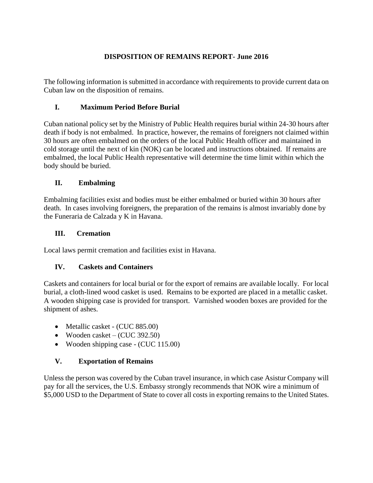# **DISPOSITION OF REMAINS REPORT- June 2016**

The following information is submitted in accordance with requirements to provide current data on Cuban law on the disposition of remains.

### **I. Maximum Period Before Burial**

Cuban national policy set by the Ministry of Public Health requires burial within 24-30 hours after death if body is not embalmed. In practice, however, the remains of foreigners not claimed within 30 hours are often embalmed on the orders of the local Public Health officer and maintained in cold storage until the next of kin (NOK) can be located and instructions obtained. If remains are embalmed, the local Public Health representative will determine the time limit within which the body should be buried.

## **II. Embalming**

Embalming facilities exist and bodies must be either embalmed or buried within 30 hours after death. In cases involving foreigners, the preparation of the remains is almost invariably done by the Funeraria de Calzada y K in Havana.

### **III. Cremation**

Local laws permit cremation and facilities exist in Havana.

### **IV. Caskets and Containers**

Caskets and containers for local burial or for the export of remains are available locally. For local burial, a cloth-lined wood casket is used. Remains to be exported are placed in a metallic casket. A wooden shipping case is provided for transport. Varnished wooden boxes are provided for the shipment of ashes.

- Metallic casket (CUC 885.00)
- Wooden casket (CUC 392.50)
- Wooden shipping case (CUC 115.00)

### **V. Exportation of Remains**

Unless the person was covered by the Cuban travel insurance, in which case Asistur Company will pay for all the services, the U.S. Embassy strongly recommends that NOK wire a minimum of \$5,000 USD to the Department of State to cover all costs in exporting remains to the United States.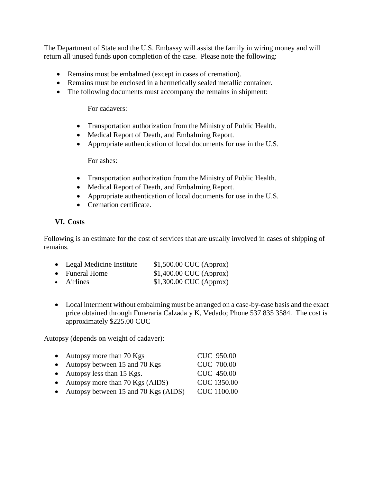The Department of State and the U.S. Embassy will assist the family in wiring money and will return all unused funds upon completion of the case. Please note the following:

- Remains must be embalmed (except in cases of cremation).
- Remains must be enclosed in a hermetically sealed metallic container.
- The following documents must accompany the remains in shipment:

For cadavers:

- Transportation authorization from the Ministry of Public Health.
- Medical Report of Death, and Embalming Report.
- Appropriate authentication of local documents for use in the U.S.

For ashes:

- Transportation authorization from the Ministry of Public Health.
- Medical Report of Death, and Embalming Report.
- Appropriate authentication of local documents for use in the U.S.
- Cremation certificate.

## **VI. Costs**

Following is an estimate for the cost of services that are usually involved in cases of shipping of remains.

| • Legal Medicine Institute | $$1,500.00$ CUC (Approx) |
|----------------------------|--------------------------|
| • Funeral Home             | $$1,400.00$ CUC (Approx) |
| $\bullet$ Airlines         | $$1,300.00$ CUC (Approx) |

• Local interment without embalming must be arranged on a case-by-case basis and the exact price obtained through Funeraria Calzada y K, Vedado; Phone 537 835 3584. The cost is approximately \$225.00 CUC

Autopsy (depends on weight of cadaver):

| • Autopsy more than $70$ Kgs           | <b>CUC 950.00</b>  |
|----------------------------------------|--------------------|
| • Autopsy between 15 and 70 Kgs        | <b>CUC 700.00</b>  |
| $\bullet$ Autopsy less than 15 Kgs.    | CUC 450.00         |
| • Autopsy more than $70$ Kgs (AIDS)    | <b>CUC 1350.00</b> |
| • Autopsy between 15 and 70 Kgs (AIDS) | <b>CUC 1100.00</b> |
|                                        |                    |